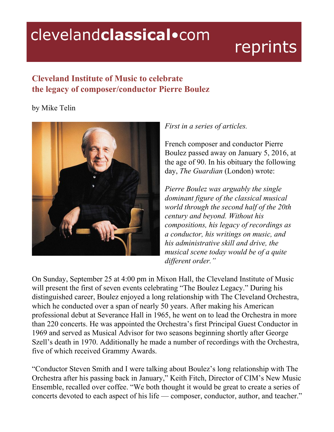# clevelandclassical.com

# reprints

## **Cleveland Institute of Music to celebrate the legacy of composer/conductor Pierre Boulez**

### by Mike Telin



#### *First in a series of articles.*

French composer and conductor Pierre Boulez passed away on January 5, 2016, at the age of 90. In his obituary the following day, *The Guardian* (London) wrote:

*Pierre Boulez was arguably the single dominant figure of the classical musical world through the second half of the 20th century and beyond. Without his compositions, his legacy of recordings as a conductor, his writings on music, and his administrative skill and drive, the musical scene today would be of a quite dif erent order."*

On Sunday, September 25 at 4:00 pm in Mixon Hall, the Cleveland Institute of Music will present the first of seven events celebrating "The Boulez Legacy." During his distinguished career, Boulez enjoyed a long relationship with The Cleveland Orchestra, which he conducted over a span of nearly 50 years. After making his American professional debut at Severance Hall in 1965, he went on to lead the Orchestra in more than 220 concerts. He was appointed the Orchestra's first Principal Guest Conductor in 1969 and served as Musical Advisor for two seasons beginning shortly after George Szell's death in 1970. Additionally he made a number of recordings with the Orchestra, five of which received Grammy Awards.

"Conductor Steven Smith and I were talking about Boulez's long relationship with The Orchestra after his passing back in January," Keith Fitch, Director of CIM's New Music Ensemble, recalled over coffee. "We both thought it would be great to create a series of concerts devoted to each aspect of his life — composer, conductor, author, and teacher."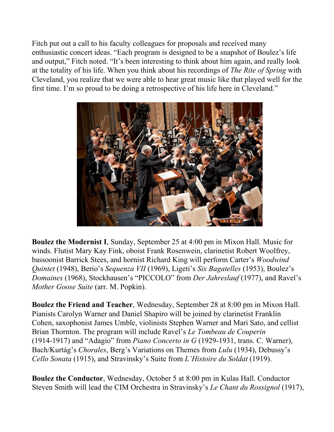Fitch put out a call to his faculty colleagues for proposals and received many enthusiastic concert ideas. "Each program is designed to be a snapshot of Boulez's life and output," Fitch noted. "It's been interesting to think about him again, and really look at the totality of his life. When you think about his recordings of *The Rite of Spring* with Cleveland, you realize that we were able to hear great music like that played well for the first time. I'm so proud to be doing a retrospective of his life here in Cleveland."



**Boulez the Modernist I**, Sunday, September 25 at 4:00 pm in Mixon Hall. Music for winds. Flutist Mary Kay Fink, oboist Frank Rosenwein, clarinetist Robert Woolfrey, bassoonist Barrick Stees, and hornist Richard King will perform Carter's *Woodwind Quintet* (1948), Berio's *Sequenza VII* (1969), Ligeti's *Six Bagatelles* (1953), Boulez's *Domaines* (1968), Stockhausen's "PICCOLO" from *Der Jahreslauf* (1977), and Ravel's *Mother Goose Suite* (arr. M. Popkin).

**Boulez the Friend and Teacher**, Wednesday, September 28 at 8:00 pm in Mixon Hall. Pianists Carolyn Warner and Daniel Shapiro will be joined by clarinetist Franklin Cohen, saxophonist James Umble, violinists Stephen Warner and Mari Sato, and cellist Brian Thornton. The program will include Ravel's *Le Tombeau de Couperin* (1914-1917) and "Adagio" from *Piano Concerto in G* (1929-1931, trans. C. Warner), Bach/Kurtág's *Chorales*, Berg's Variations on Themes from *Lulu* (1934), Debussy's *Cello Sonata* (1915), and Stravinsky's Suite from *L'Histoire du Soldat* (1919).

**Boulez the Conductor**, Wednesday, October 5 at 8:00 pm in Kulas Hall. Conductor Steven Smith will lead the CIM Orchestra in Stravinsky's *Le Chant du Rossignol* (1917),